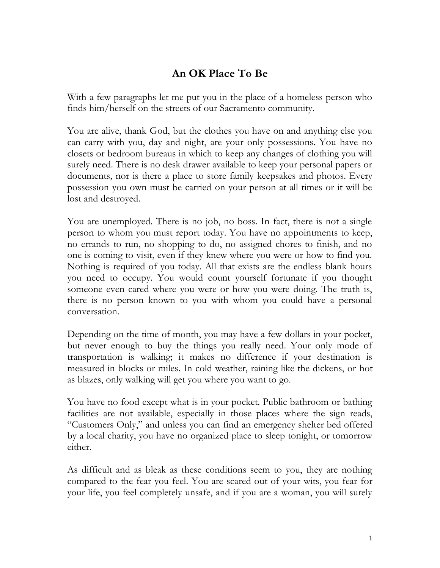## **An OK Place To Be**

With a few paragraphs let me put you in the place of a homeless person who finds him/herself on the streets of our Sacramento community.

You are alive, thank God, but the clothes you have on and anything else you can carry with you, day and night, are your only possessions. You have no closets or bedroom bureaus in which to keep any changes of clothing you will surely need. There is no desk drawer available to keep your personal papers or documents, nor is there a place to store family keepsakes and photos. Every possession you own must be carried on your person at all times or it will be lost and destroyed.

You are unemployed. There is no job, no boss. In fact, there is not a single person to whom you must report today. You have no appointments to keep, no errands to run, no shopping to do, no assigned chores to finish, and no one is coming to visit, even if they knew where you were or how to find you. Nothing is required of you today. All that exists are the endless blank hours you need to occupy. You would count yourself fortunate if you thought someone even cared where you were or how you were doing. The truth is, there is no person known to you with whom you could have a personal conversation.

Depending on the time of month, you may have a few dollars in your pocket, but never enough to buy the things you really need. Your only mode of transportation is walking; it makes no difference if your destination is measured in blocks or miles. In cold weather, raining like the dickens, or hot as blazes, only walking will get you where you want to go.

You have no food except what is in your pocket. Public bathroom or bathing facilities are not available, especially in those places where the sign reads, "Customers Only," and unless you can find an emergency shelter bed offered by a local charity, you have no organized place to sleep tonight, or tomorrow either.

As difficult and as bleak as these conditions seem to you, they are nothing compared to the fear you feel. You are scared out of your wits, you fear for your life, you feel completely unsafe, and if you are a woman, you will surely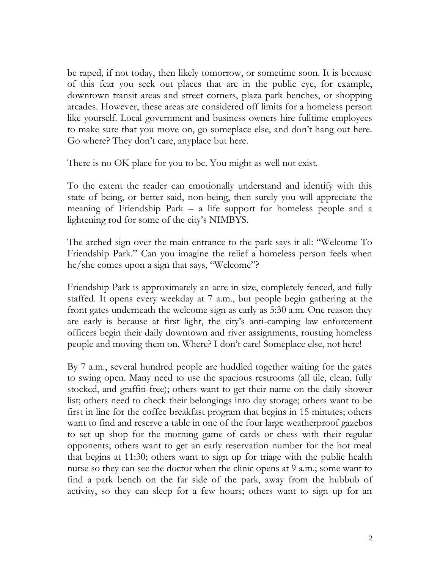be raped, if not today, then likely tomorrow, or sometime soon. It is because of this fear you seek out places that are in the public eye, for example, downtown transit areas and street corners, plaza park benches, or shopping arcades. However, these areas are considered off limits for a homeless person like yourself. Local government and business owners hire fulltime employees to make sure that you move on, go someplace else, and don't hang out here. Go where? They don't care, anyplace but here.

There is no OK place for you to be. You might as well not exist.

To the extent the reader can emotionally understand and identify with this state of being, or better said, non-being, then surely you will appreciate the meaning of Friendship Park – a life support for homeless people and a lightening rod for some of the city's NIMBYS.

The arched sign over the main entrance to the park says it all: "Welcome To Friendship Park." Can you imagine the relief a homeless person feels when he/she comes upon a sign that says, "Welcome"?

Friendship Park is approximately an acre in size, completely fenced, and fully staffed. It opens every weekday at 7 a.m., but people begin gathering at the front gates underneath the welcome sign as early as 5:30 a.m. One reason they are early is because at first light, the city's anti-camping law enforcement officers begin their daily downtown and river assignments, rousting homeless people and moving them on. Where? I don't care! Someplace else, not here!

By 7 a.m., several hundred people are huddled together waiting for the gates to swing open. Many need to use the spacious restrooms (all tile, clean, fully stocked, and graffiti-free); others want to get their name on the daily shower list; others need to check their belongings into day storage; others want to be first in line for the coffee breakfast program that begins in 15 minutes; others want to find and reserve a table in one of the four large weatherproof gazebos to set up shop for the morning game of cards or chess with their regular opponents; others want to get an early reservation number for the hot meal that begins at 11:30; others want to sign up for triage with the public health nurse so they can see the doctor when the clinic opens at 9 a.m.; some want to find a park bench on the far side of the park, away from the hubbub of activity, so they can sleep for a few hours; others want to sign up for an